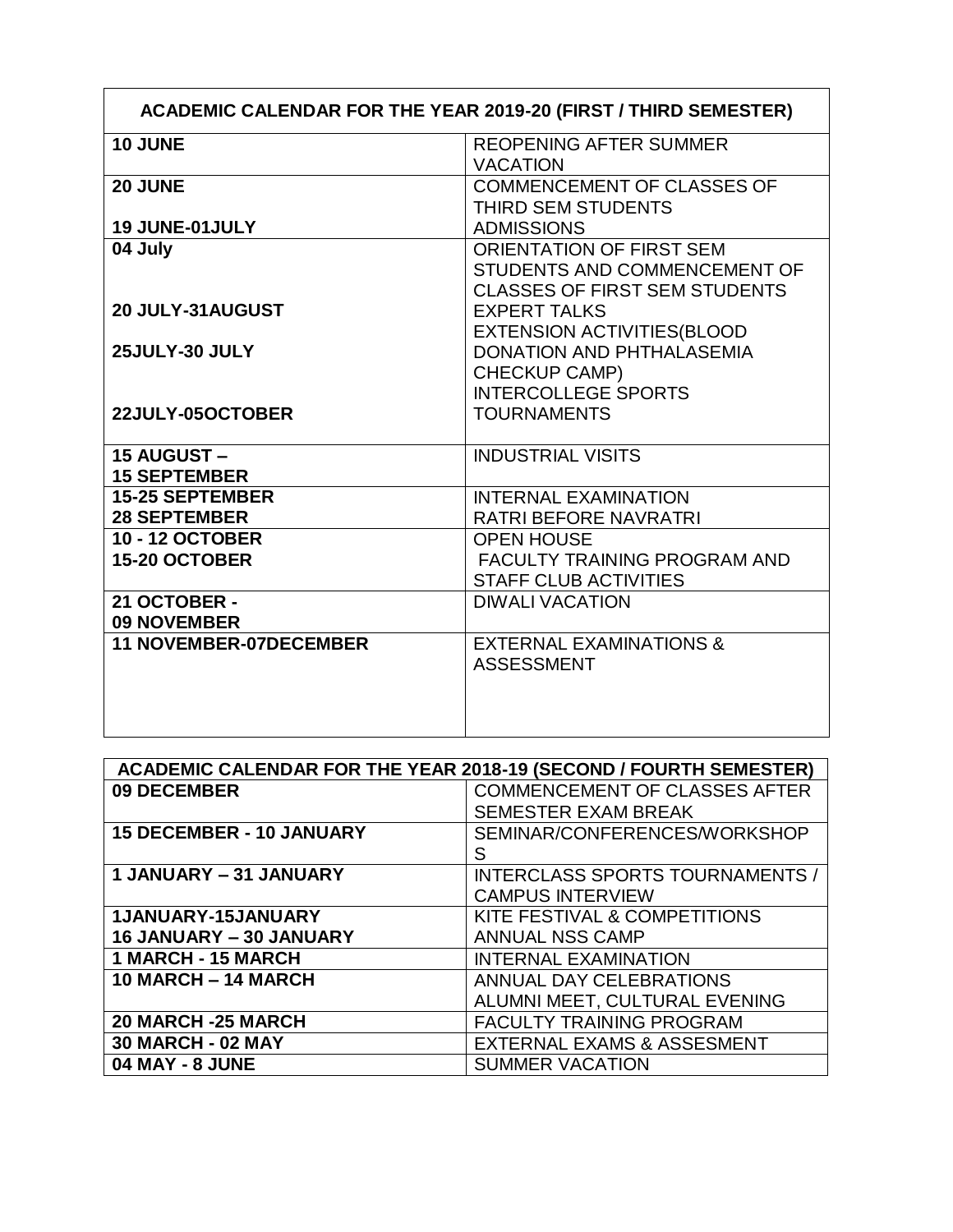| <b>ACADEMIC CALENDAR FOR THE YEAR 2019-20 (FIRST / THIRD SEMESTER)</b> |                                                                                                         |
|------------------------------------------------------------------------|---------------------------------------------------------------------------------------------------------|
| 10 JUNE                                                                | <b>REOPENING AFTER SUMMER</b><br><b>VACATION</b>                                                        |
| 20 JUNE                                                                | <b>COMMENCEMENT OF CLASSES OF</b><br>THIRD SEM STUDENTS                                                 |
| 19 JUNE-01JULY                                                         | <b>ADMISSIONS</b>                                                                                       |
| 04 July                                                                | <b>ORIENTATION OF FIRST SEM</b><br>STUDENTS AND COMMENCEMENT OF<br><b>CLASSES OF FIRST SEM STUDENTS</b> |
| 20 JULY-31 AUGUST                                                      | <b>EXPERT TALKS</b><br><b>EXTENSION ACTIVITIES (BLOOD</b>                                               |
| 25JULY-30 JULY                                                         | <b>DONATION AND PHTHALASEMIA</b><br><b>CHECKUP CAMP)</b><br><b>INTERCOLLEGE SPORTS</b>                  |
| 22JULY-05OCTOBER                                                       | <b>TOURNAMENTS</b>                                                                                      |
| 15 AUGUST-                                                             | <b>INDUSTRIAL VISITS</b>                                                                                |
| <b>15 SEPTEMBER</b>                                                    |                                                                                                         |
| <b>15-25 SEPTEMBER</b>                                                 | <b>INTERNAL EXAMINATION</b>                                                                             |
| <b>28 SEPTEMBER</b>                                                    | RATRI BEFORE NAVRATRI                                                                                   |
| <b>10 - 12 OCTOBER</b>                                                 | <b>OPEN HOUSE</b>                                                                                       |
| 15-20 OCTOBER                                                          | <b>FACULTY TRAINING PROGRAM AND</b>                                                                     |
|                                                                        | <b>STAFF CLUB ACTIVITIES</b>                                                                            |
| 21 OCTOBER -                                                           | <b>DIWALI VACATION</b>                                                                                  |
| <b>09 NOVEMBER</b>                                                     |                                                                                                         |
| <b>11 NOVEMBER-07DECEMBER</b>                                          | <b>EXTERNAL EXAMINATIONS &amp;</b><br><b>ASSESSMENT</b>                                                 |
|                                                                        |                                                                                                         |

| <b>ACADEMIC CALENDAR FOR THE YEAR 2018-19 (SECOND / FOURTH SEMESTER)</b> |                                        |
|--------------------------------------------------------------------------|----------------------------------------|
| 09 DECEMBER                                                              | <b>COMMENCEMENT OF CLASSES AFTER</b>   |
|                                                                          | <b>SEMESTER EXAM BREAK</b>             |
| <b>15 DECEMBER - 10 JANUARY</b>                                          | SEMINAR/CONFERENCES/WORKSHOP           |
|                                                                          | S                                      |
| 1 JANUARY - 31 JANUARY                                                   | <b>INTERCLASS SPORTS TOURNAMENTS /</b> |
|                                                                          | <b>CAMPUS INTERVIEW</b>                |
| 1JANUARY-15JANUARY                                                       | KITE FESTIVAL & COMPETITIONS           |
| 16 JANUARY - 30 JANUARY                                                  | <b>ANNUAL NSS CAMP</b>                 |
| 1 MARCH - 15 MARCH                                                       | <b>INTERNAL EXAMINATION</b>            |
| 10 MARCH - 14 MARCH                                                      | ANNUAL DAY CELEBRATIONS                |
|                                                                          | ALUMNI MEET, CULTURAL EVENING          |
| 20 MARCH -25 MARCH                                                       | <b>FACULTY TRAINING PROGRAM</b>        |
| <b>30 MARCH - 02 MAY</b>                                                 | <b>EXTERNAL EXAMS &amp; ASSESMENT</b>  |
| <b>04 MAY - 8 JUNE</b>                                                   | <b>SUMMER VACATION</b>                 |